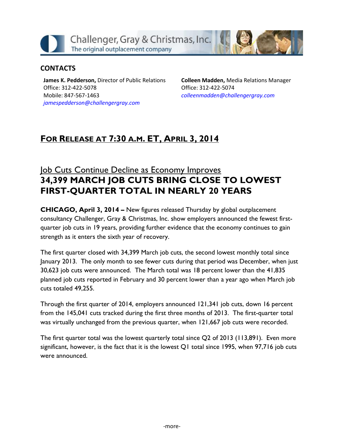Challenger, Gray & Christmas, Inc. The original outplacement company

#### **CONTACTS**

**James K. Pedderson,** Director of Public Relations Office: 312-422-5078 Mobile: 847-567-1463 *[jamespedderson@challengergray.com](mailto:jamespedderson@challengergray.com)*

**Colleen Madden,** Media Relations Manager Office: 312-422-5074 *[colleenmadden@challengergray.com](mailto:colleenmadden@challengergray.com)*

# **FOR RELEASE AT 7:30 A.M. ET, APRIL 3, 2014**

# Job Cuts Continue Decline as Economy Improves **34,399 MARCH JOB CUTS BRING CLOSE TO LOWEST FIRST-QUARTER TOTAL IN NEARLY 20 YEARS**

**CHICAGO, April 3, 2014 –** New figures released Thursday by global outplacement consultancy Challenger, Gray & Christmas, Inc. show employers announced the fewest firstquarter job cuts in 19 years, providing further evidence that the economy continues to gain strength as it enters the sixth year of recovery.

The first quarter closed with 34,399 March job cuts, the second lowest monthly total since January 2013. The only month to see fewer cuts during that period was December, when just 30,623 job cuts were announced. The March total was 18 percent lower than the 41,835 planned job cuts reported in February and 30 percent lower than a year ago when March job cuts totaled 49,255.

Through the first quarter of 2014, employers announced 121,341 job cuts, down 16 percent from the 145,041 cuts tracked during the first three months of 2013. The first-quarter total was virtually unchanged from the previous quarter, when 121,667 job cuts were recorded.

The first quarter total was the lowest quarterly total since Q2 of 2013 (113,891). Even more significant, however, is the fact that it is the lowest Q1 total since 1995, when 97,716 job cuts were announced.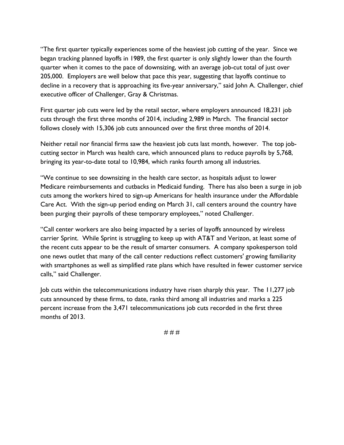"The first quarter typically experiences some of the heaviest job cutting of the year. Since we began tracking planned layoffs in 1989, the first quarter is only slightly lower than the fourth quarter when it comes to the pace of downsizing, with an average job-cut total of just over 205,000. Employers are well below that pace this year, suggesting that layoffs continue to decline in a recovery that is approaching its five-year anniversary," said John A. Challenger, chief executive officer of Challenger, Gray & Christmas.

First quarter job cuts were led by the retail sector, where employers announced 18,231 job cuts through the first three months of 2014, including 2,989 in March. The financial sector follows closely with 15,306 job cuts announced over the first three months of 2014.

Neither retail nor financial firms saw the heaviest job cuts last month, however. The top jobcutting sector in March was health care, which announced plans to reduce payrolls by 5,768, bringing its year-to-date total to 10,984, which ranks fourth among all industries.

"We continue to see downsizing in the health care sector, as hospitals adjust to lower Medicare reimbursements and cutbacks in Medicaid funding. There has also been a surge in job cuts among the workers hired to sign-up Americans for health insurance under the Affordable Care Act. With the sign-up period ending on March 31, call centers around the country have been purging their payrolls of these temporary employees," noted Challenger.

"Call center workers are also being impacted by a series of layoffs announced by wireless carrier Sprint. While Sprint is struggling to keep up with AT&T and Verizon, at least some of the recent cuts appear to be the result of smarter consumers. A company spokesperson told one news outlet that many of the call center reductions reflect customers' growing familiarity with smartphones as well as simplified rate plans which have resulted in fewer customer service calls," said Challenger.

Job cuts within the telecommunications industry have risen sharply this year. The 11,277 job cuts announced by these firms, to date, ranks third among all industries and marks a 225 percent increase from the 3,471 telecommunications job cuts recorded in the first three months of 2013.

# # #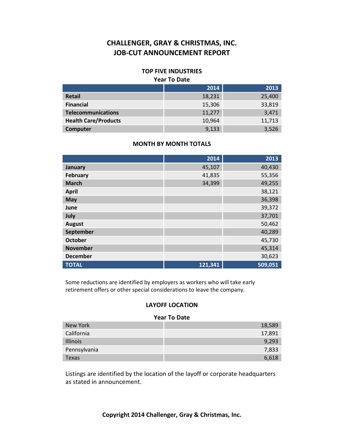#### **TOP FIVE INDUSTRIES**

#### **Year To Date**

|                             | 2014   | 2013   |
|-----------------------------|--------|--------|
| <b>Retail</b>               | 18,231 | 25,400 |
| <b>Financial</b>            | 15,306 | 33,819 |
| <b>Telecommunications</b>   | 11,277 | 3,471  |
| <b>Health Care/Products</b> | 10,964 | 11,713 |
| Computer                    | 9,133  | 3,526  |

#### **MONTH BY MONTH TOTALS**

|                 | 2014    | 2013    |
|-----------------|---------|---------|
| January         | 45,107  | 40,430  |
| <b>February</b> | 41,835  | 55,356  |
| <b>March</b>    | 34,399  | 49,255  |
| <b>April</b>    |         | 38,121  |
| May             |         | 36,398  |
| June            |         | 39,372  |
| July            |         | 37,701  |
| <b>August</b>   |         | 50,462  |
| September       |         | 40,289  |
| <b>October</b>  |         | 45,730  |
| <b>November</b> |         | 45,314  |
| <b>December</b> |         | 30,623  |
| <b>TOTAL</b>    | 121,341 | 509,051 |

Some reductions are identified by employers as workers who will take early retirement offers or other special considerations to leave the company.

#### **LAYOFF LOCATION**

#### **Year To Date**

| New York        | 18,589 |
|-----------------|--------|
| California      | 17,891 |
| <b>Illinois</b> | 9,293  |
| Pennsylvania    | 7,833  |
| Texas           | 6.618  |

Listings are identified by the location of the layoff or corporate headquarters as stated in announcement.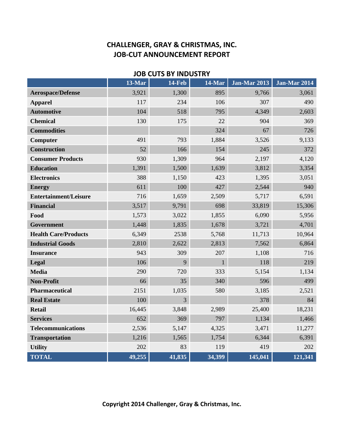| COTS DE MADOSINI             |           |               |        |                     |                     |  |
|------------------------------|-----------|---------------|--------|---------------------|---------------------|--|
|                              | $13$ -Mar | <b>14-Feb</b> | 14-Mar | <b>Jan-Mar 2013</b> | <b>Jan-Mar 2014</b> |  |
| <b>Aerospace/Defense</b>     | 3,921     | 1,300         | 895    | 9,766               | 3,061               |  |
| <b>Apparel</b>               | 117       | 234           | 106    | 307                 | 490                 |  |
| <b>Automotive</b>            | 104       | 518           | 795    | 4,349               | 2,603               |  |
| <b>Chemical</b>              | 130       | 175           | 22     | 904                 | 369                 |  |
| <b>Commodities</b>           |           |               | 324    | 67                  | 726                 |  |
| Computer                     | 491       | 793           | 1,884  | 3,526               | 9,133               |  |
| <b>Construction</b>          | 52        | 166           | 154    | 245                 | 372                 |  |
| <b>Consumer Products</b>     | 930       | 1,309         | 964    | 2,197               | 4,120               |  |
| <b>Education</b>             | 1,391     | 1,500         | 1,639  | 3,812               | 3,354               |  |
| <b>Electronics</b>           | 388       | 1,150         | 423    | 1,395               | 3,051               |  |
| <b>Energy</b>                | 611       | 100           | 427    | 2,544               | 940                 |  |
| <b>Entertainment/Leisure</b> | 716       | 1,659         | 2,509  | 5,717               | 6,591               |  |
| <b>Financial</b>             | 3,517     | 9,791         | 698    | 33,819              | 15,306              |  |
| Food                         | 1,573     | 3,022         | 1,855  | 6,090               | 5,956               |  |
| Government                   | 1,448     | 1,835         | 1,678  | 3,721               | 4,701               |  |
| <b>Health Care/Products</b>  | 6,349     | 2538          | 5,768  | 11,713              | 10,964              |  |
| <b>Industrial Goods</b>      | 2,810     | 2,622         | 2,813  | 7,562               | 6,864               |  |
| <b>Insurance</b>             | 943       | 309           | 207    | 1,108               | 716                 |  |
| Legal                        | 106       | 9             | 1      | 118                 | 219                 |  |
| <b>Media</b>                 | 290       | 720           | 333    | 5,154               | 1,134               |  |
| <b>Non-Profit</b>            | 66        | 35            | 340    | 596                 | 499                 |  |
| Pharmaceutical               | 2151      | 1,035         | 580    | 3,185               | 2,521               |  |
| <b>Real Estate</b>           | 100       | 3             |        | 378                 | 84                  |  |
| <b>Retail</b>                | 16,445    | 3,848         | 2,989  | 25,400              | 18,231              |  |
| <b>Services</b>              | 652       | 369           | 797    | 1,134               | 1,466               |  |
| <b>Telecommunications</b>    | 2,536     | 5,147         | 4,325  | 3,471               | 11,277              |  |
| <b>Transportation</b>        | 1,216     | 1,565         | 1,754  | 6,344               | 6,391               |  |
| <b>Utility</b>               | 202       | 83            | 119    | 419                 | 202                 |  |
| <b>TOTAL</b>                 | 49,255    | 41,835        | 34,399 | 145,041             | 121,341             |  |

**JOB CUTS BY INDUSTRY**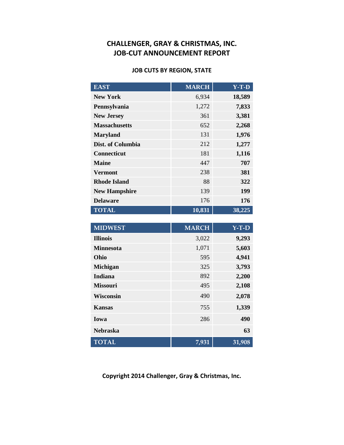#### **JOB CUTS BY REGION, STATE**

| <b>EAST</b>          | <b>MARCH</b> | $Y-T-D$ |
|----------------------|--------------|---------|
| <b>New York</b>      | 6,934        | 18,589  |
| Pennsylvania         | 1,272        | 7,833   |
| <b>New Jersey</b>    | 361          | 3,381   |
| <b>Massachusetts</b> | 652          | 2,268   |
| <b>Maryland</b>      | 131          | 1,976   |
| Dist. of Columbia    | 212          | 1,277   |
| <b>Connecticut</b>   | 181          | 1,116   |
| <b>Maine</b>         | 447          | 707     |
| <b>Vermont</b>       | 238          | 381     |
| <b>Rhode Island</b>  | 88           | 322     |
| <b>New Hampshire</b> | 139          | 199     |
| <b>Delaware</b>      | 176          | 176     |
| <b>TOTAL</b>         | 10,831       | 38,225  |

| <b>MIDWEST</b>   | <b>MARCH</b> | $Y-T-D$ |
|------------------|--------------|---------|
| <b>Illinois</b>  | 3,022        | 9,293   |
| <b>Minnesota</b> | 1,071        | 5,603   |
| Ohio             | 595          | 4,941   |
| <b>Michigan</b>  | 325          | 3,793   |
| Indiana          | 892          | 2,200   |
| <b>Missouri</b>  | 495          | 2,108   |
| <b>Wisconsin</b> | 490          | 2,078   |
| <b>Kansas</b>    | 755          | 1,339   |
| Iowa             | 286          | 490     |
| <b>Nebraska</b>  |              | 63      |
| <b>TOTAL</b>     | 7,931        | 31,908  |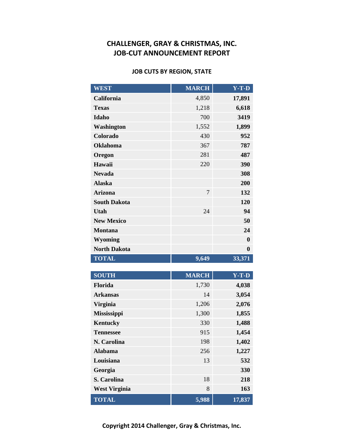#### **JOB CUTS BY REGION, STATE**

| <b>WEST</b>         | <b>MARCH</b>   | $Y-T-D$  |
|---------------------|----------------|----------|
| California          | 4,850          | 17,891   |
| <b>Texas</b>        | 1,218          | 6,618    |
| Idaho               | 700            | 3419     |
| Washington          | 1,552          | 1,899    |
| Colorado            | 430            | 952      |
| <b>Oklahoma</b>     | 367            | 787      |
| Oregon              | 281            | 487      |
| Hawaii              | 220            | 390      |
| <b>Nevada</b>       |                | 308      |
| <b>Alaska</b>       |                | 200      |
| <b>Arizona</b>      | $\overline{7}$ | 132      |
| <b>South Dakota</b> |                | 120      |
| <b>Utah</b>         | 24             | 94       |
| <b>New Mexico</b>   |                | 50       |
| <b>Montana</b>      |                | 24       |
| <b>Wyoming</b>      |                | $\bf{0}$ |
| <b>North Dakota</b> |                | $\bf{0}$ |
| <b>TOTAL</b>        | 9,649          | 33,371   |

| <b>SOUTH</b>         | <b>MARCH</b> | $Y-T-D$ |
|----------------------|--------------|---------|
| <b>Florida</b>       | 1,730        | 4,038   |
| <b>Arkansas</b>      | 14           | 3,054   |
| <b>Virginia</b>      | 1,206        | 2,076   |
| <b>Mississippi</b>   | 1,300        | 1,855   |
| <b>Kentucky</b>      | 330          | 1,488   |
| <b>Tennessee</b>     | 915          | 1,454   |
| N. Carolina          | 198          | 1,402   |
| <b>Alabama</b>       | 256          | 1,227   |
| Louisiana            | 13           | 532     |
| Georgia              |              | 330     |
| S. Carolina          | 18           | 218     |
| <b>West Virginia</b> | 8            | 163     |
| <b>TOTAL</b>         | 5,988        | 17,837  |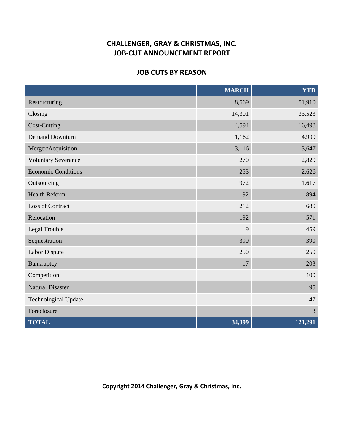#### **JOB CUTS BY REASON**

|                             | <b>MARCH</b> | <b>YTD</b>     |
|-----------------------------|--------------|----------------|
| Restructuring               | 8,569        | 51,910         |
| Closing                     | 14,301       | 33,523         |
| <b>Cost-Cutting</b>         | 4,594        | 16,498         |
| <b>Demand Downturn</b>      | 1,162        | 4,999          |
| Merger/Acquisition          | 3,116        | 3,647          |
| <b>Voluntary Severance</b>  | 270          | 2,829          |
| <b>Economic Conditions</b>  | 253          | 2,626          |
| Outsourcing                 | 972          | 1,617          |
| <b>Health Reform</b>        | 92           | 894            |
| <b>Loss of Contract</b>     | 212          | 680            |
| Relocation                  | 192          | 571            |
| Legal Trouble               | 9            | 459            |
| Sequestration               | 390          | 390            |
| Labor Dispute               | 250          | 250            |
| Bankruptcy                  | 17           | 203            |
| Competition                 |              | 100            |
| <b>Natural Disaster</b>     |              | 95             |
| <b>Technological Update</b> |              | 47             |
| Foreclosure                 |              | $\mathfrak{Z}$ |
| <b>TOTAL</b>                | 34,399       | 121,291        |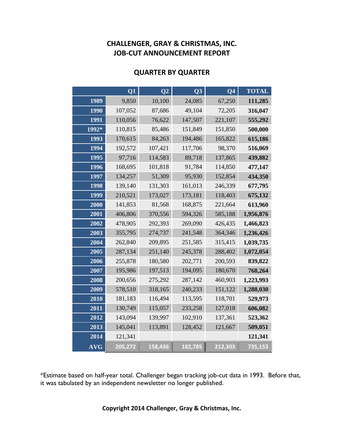|            | Q1      | Q <sub>2</sub> | Q <sub>3</sub> | Q <sub>4</sub> | <b>TOTAL</b> |
|------------|---------|----------------|----------------|----------------|--------------|
| 1989       | 9,850   | 10,100         | 24,085         | 67,250         | 111,285      |
| 1990       | 107,052 | 87,686         | 49,104         | 72,205         | 316,047      |
| 1991       | 110,056 | 76,622         | 147,507        | 221,107        | 555,292      |
| 1992*      | 110,815 | 85,486         | 151,849        | 151,850        | 500,000      |
| 1993       | 170,615 | 84,263         | 194,486        | 165,822        | 615,186      |
| 1994       | 192,572 | 107,421        | 117,706        | 98,370         | 516,069      |
| 1995       | 97,716  | 114,583        | 89,718         | 137,865        | 439,882      |
| 1996       | 168,695 | 101,818        | 91,784         | 114,850        | 477,147      |
| 1997       | 134,257 | 51,309         | 95,930         | 152,854        | 434,350      |
| 1998       | 139,140 | 131,303        | 161,013        | 246,339        | 677,795      |
| 1999       | 210,521 | 173,027        | 173,181        | 118,403        | 675,132      |
| 2000       | 141,853 | 81,568         | 168,875        | 221,664        | 613,960      |
| 2001       | 406,806 | 370,556        | 594,326        | 585,188        | 1,956,876    |
| 2002       | 478,905 | 292,393        | 269,090        | 426,435        | 1,466,823    |
| 2003       | 355,795 | 274,737        | 241,548        | 364,346        | 1,236,426    |
| 2004       | 262,840 | 209,895        | 251,585        | 315,415        | 1,039,735    |
| 2005       | 287,134 | 251,140        | 245,378        | 288,402        | 1,072,054    |
| 2006       | 255,878 | 180,580        | 202,771        | 200,593        | 839,822      |
| 2007       | 195,986 | 197,513        | 194,095        | 180,670        | 768,264      |
| 2008       | 200,656 | 275,292        | 287,142        | 460,903        | 1,223,993    |
| 2009       | 578,510 | 318,165        | 240,233        | 151,122        | 1,288,030    |
| 2010       | 181,183 | 116,494        | 113,595        | 118,701        | 529,973      |
| 2011       | 130,749 | 115,057        | 233,258        | 127,018        | 606,082      |
| 2012       | 143,094 | 139,997        | 102,910        | 137,361        | 523,362      |
| 2013       | 145,041 | 113,891        | 128,452        | 121,667        | 509,051      |
| 2014       | 121,341 |                |                |                | 121,341      |
| <b>AVG</b> | 205,272 | 158,436        | 182,785        | 212,303        | 735,153      |

#### **QUARTER BY QUARTER**

\*Estimate based on half-year total. Challenger began tracking job-cut data in 1993. Before that, it was tabulated by an independent newsletter no longer published.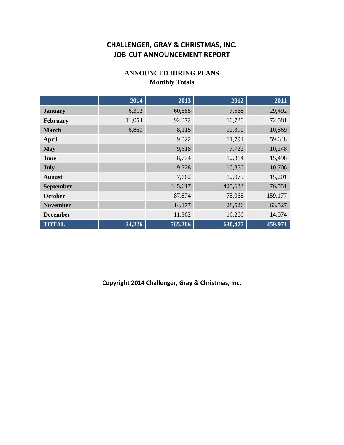#### **ANNOUNCED HIRING PLANS Monthly Totals**

|                  | 2014   | 2013    | 2012    | 2011    |
|------------------|--------|---------|---------|---------|
| <b>January</b>   | 6,312  | 60,585  | 7,568   | 29,492  |
| February         | 11,054 | 92,372  | 10,720  | 72,581  |
| <b>March</b>     | 6,860  | 8,115   | 12,390  | 10,869  |
| April            |        | 9,322   | 11,794  | 59,648  |
| <b>May</b>       |        | 9,618   | 7,722   | 10,248  |
| June             |        | 8,774   | 12,314  | 15,498  |
| July             |        | 9,728   | 10,350  | 10,706  |
| <b>August</b>    |        | 7,662   | 12,079  | 15,201  |
| <b>September</b> |        | 445,617 | 425,683 | 76,551  |
| <b>October</b>   |        | 87,874  | 75,065  | 159,177 |
| <b>November</b>  |        | 14,177  | 28,526  | 63,527  |
| <b>December</b>  |        | 11,362  | 16,266  | 14,074  |
| <b>TOTAL</b>     | 24,226 | 765,206 | 630,477 | 459,971 |